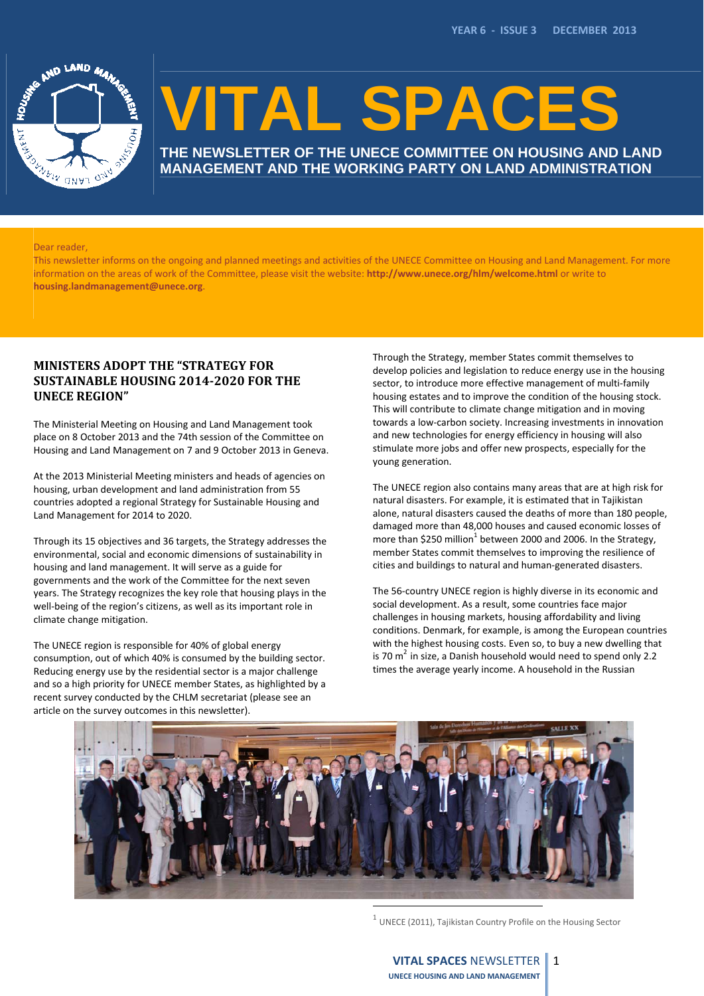

# **VITAL SPACES**

**THE NEWSLETTER OF THE UNECE COMMITTEE ON HOUSING AND LAND MANAGEMENT AND THE WORKING PARTY ON LAND ADMINISTRATION**

#### Dear reader,

This newsletter informs on the ongoing and planned meetings and activities of the UNECE Committee on Housing and Land Management. For more information on the areas of work of the Committee, please visit the website: **http://www.unece.org/hlm/welcome.html** or write to **housing.landmanagement@unece.org**.

# **MINISTERS ADOPT THE "STRATEGY FOR SUSTAINABLE HOUSING 2014‐2020 FOR THE UNECE REGION"**

The Ministerial Meeting on Housing and Land Management took place on 8 October 2013 and the 74th session of the Committee on Housing and Land Management on 7 and 9 October 2013 in Geneva.

At the 2013 Ministerial Meeting ministers and heads of agencies on housing, urban development and land administration from 55 countries adopted a regional Strategy for Sustainable Housing and Land Management for 2014 to 2020.

Through its 15 objectives and 36 targets, the Strategy addresses the environmental, social and economic dimensions of sustainability in housing and land management. It will serve as a guide for governments and the work of the Committee for the next seven years. The Strategy recognizes the key role that housing plays in the well-being of the region's citizens, as well as its important role in climate change mitigation.

The UNECE region is responsible for 40% of global energy consumption, out of which 40% is consumed by the building sector. Reducing energy use by the residential sector is a major challenge and so a high priority for UNECE member States, as highlighted by a recent survey conducted by the CHLM secretariat (please see an article on the survey outcomes in this newsletter).

Through the Strategy, member States commit themselves to develop policies and legislation to reduce energy use in the housing sector, to introduce more effective management of multi-family housing estates and to improve the condition of the housing stock. This will contribute to climate change mitigation and in moving towards a low‐carbon society. Increasing investments in innovation and new technologies for energy efficiency in housing will also stimulate more jobs and offer new prospects, especially for the young generation.

The UNECE region also contains many areas that are at high risk for natural disasters. For example, it is estimated that in Tajikistan alone, natural disasters caused the deaths of more than 180 people, damaged more than 48,000 houses and caused economic losses of more than \$250 million<sup>1</sup> between 2000 and 2006. In the Strategy, member States commit themselves to improving the resilience of cities and buildings to natural and human‐generated disasters.

The 56‐country UNECE region is highly diverse in its economic and social development. As a result, some countries face major challenges in housing markets, housing affordability and living conditions. Denmark, for example, is among the European countries with the highest housing costs. Even so, to buy a new dwelling that is 70  $m^2$  in size, a Danish household would need to spend only 2.2 times the average yearly income. A household in the Russian



 $1$  UNECE (2011), Tajikistan Country Profile on the Housing Sector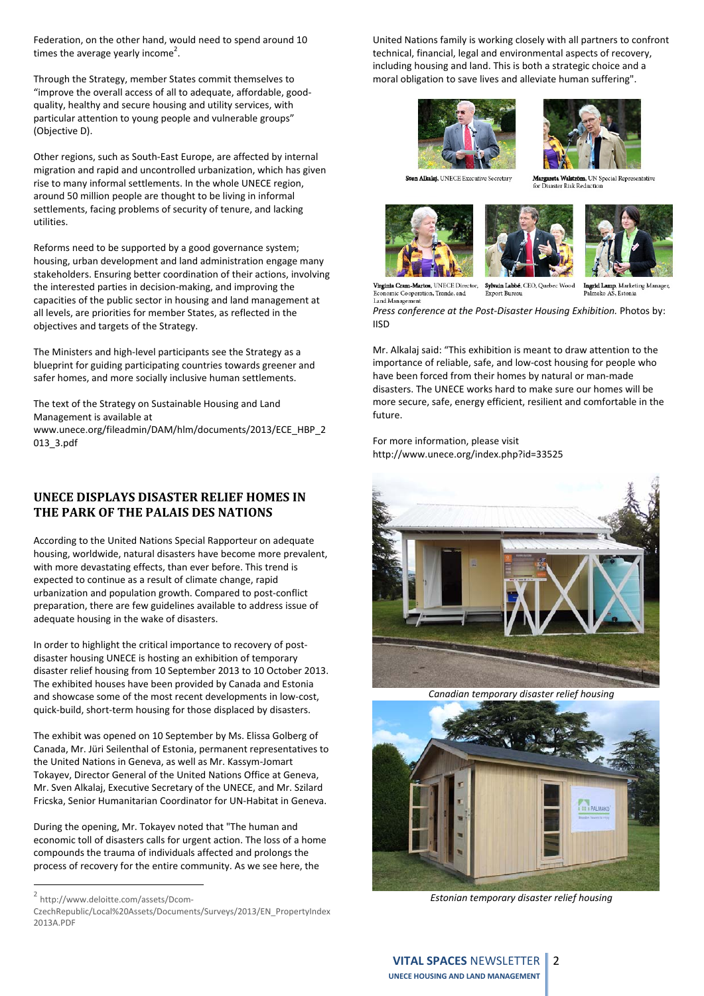Federation, on the other hand, would need to spend around 10 times the average yearly income<sup>2</sup>.

Through the Strategy, member States commit themselves to "improve the overall access of all to adequate, affordable, good‐ quality, healthy and secure housing and utility services, with particular attention to young people and vulnerable groups" (Objective D).

Other regions, such as South‐East Europe, are affected by internal migration and rapid and uncontrolled urbanization, which has given rise to many informal settlements. In the whole UNECE region, around 50 million people are thought to be living in informal settlements, facing problems of security of tenure, and lacking utilities.

Reforms need to be supported by a good governance system; housing, urban development and land administration engage many stakeholders. Ensuring better coordination of their actions, involving the interested parties in decision‐making, and improving the capacities of the public sector in housing and land management at all levels, are priorities for member States, as reflected in the objectives and targets of the Strategy.

The Ministers and high‐level participants see the Strategy as a blueprint for guiding participating countries towards greener and safer homes, and more socially inclusive human settlements.

The text of the Strategy on Sustainable Housing and Land Management is available at www.unece.org/fileadmin/DAM/hlm/documents/2013/ECE\_HBP\_2 013\_3.pdf

# **UNECE DISPLAYS DISASTER RELIEF HOMES IN THE PARK OF THE PALAIS DES NATIONS**

According to the United Nations Special Rapporteur on adequate housing, worldwide, natural disasters have become more prevalent, with more devastating effects, than ever before. This trend is expected to continue as a result of climate change, rapid urbanization and population growth. Compared to post‐conflict preparation, there are few guidelines available to address issue of adequate housing in the wake of disasters.

In order to highlight the critical importance to recovery of postdisaster housing UNECE is hosting an exhibition of temporary disaster relief housing from 10 September 2013 to 10 October 2013. The exhibited houses have been provided by Canada and Estonia and showcase some of the most recent developments in low-cost, quick‐build, short‐term housing for those displaced by disasters.

The exhibit was opened on 10 September by Ms. Elissa Golberg of Canada, Mr. Jüri Seilenthal of Estonia, permanent representatives to the United Nations in Geneva, as well as Mr. Kassym‐Jomart Tokayev, Director General of the United Nations Office at Geneva, Mr. Sven Alkalaj, Executive Secretary of the UNECE, and Mr. Szilard Fricska, Senior Humanitarian Coordinator for UN‐Habitat in Geneva.

During the opening, Mr. Tokayev noted that "The human and economic toll of disasters calls for urgent action. The loss of a home compounds the trauma of individuals affected and prolongs the process of recovery for the entire community. As we see here, the

United Nations family is working closely with all partners to confront technical, financial, legal and environmental aspects of recovery, including housing and land. This is both a strategic choice and a moral obligation to save lives and alleviate human suffering".





Sven Alkalaj, UNECE Executive Secretary

Margareta Walström, UN Special Representative<br>for Disaster Risk Reduction







Virginia Cram-Martos, UNECE Director, omic Cooperation, Trande, and Land Management

Sylvain Labbé, CEO, Quebec Wood

farketing Manage Palmako AS, Estonia

*Press conference at the Post‐Disaster Housing Exhibition.* Photos by: IISD

**Export Bureau** 

Mr. Alkalaj said: "This exhibition is meant to draw attention to the importance of reliable, safe, and low‐cost housing for people who have been forced from their homes by natural or man-made disasters. The UNECE works hard to make sure our homes will be more secure, safe, energy efficient, resilient and comfortable in the future.

For more information, please visit http://www.unece.org/index.php?id=33525



*Canadian temporary disaster relief housing*



*Estonian temporary disaster relief housing*

 http://www.deloitte.com/assets/Dcom-

CzechRepublic/Local%20Assets/Documents/Surveys/2013/EN\_PropertyIndex 2013A.PDF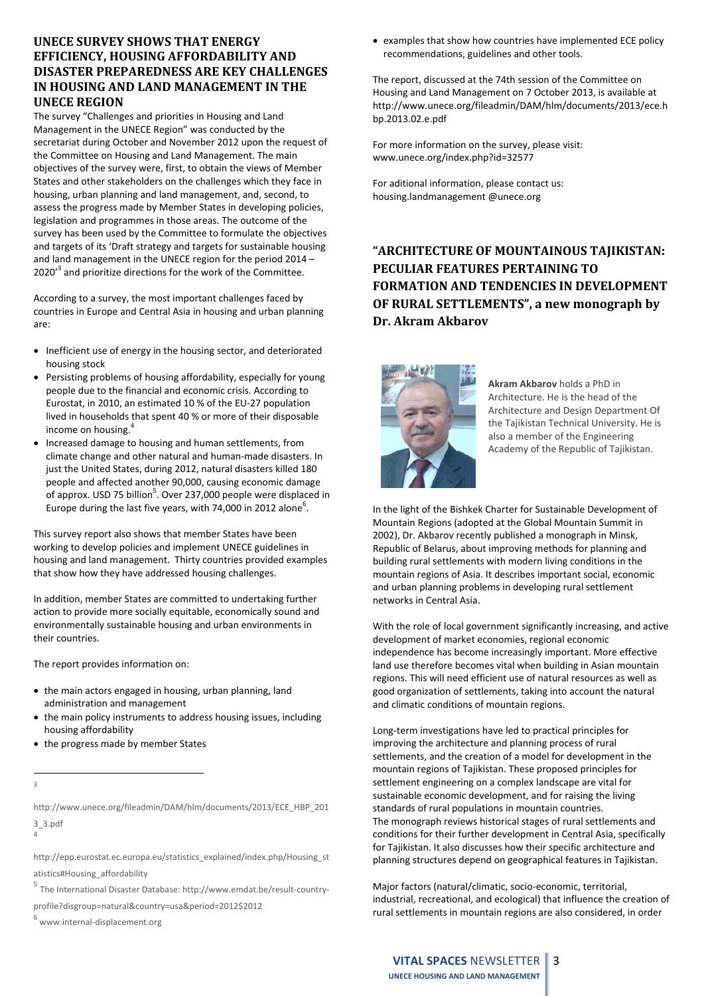# **UNECE SURVEY SHOWS THAT ENERGY EFFICIENCY, HOUSING AFFORDABILITY AND DISASTER PREPAREDNESS ARE KEY CHALLENGES IN HOUSING AND LAND MANAGEMENT IN THE UNECE REGION**

The survey "Challenges and priorities in Housing and Land Management in the UNECE Region" was conducted by the secretariat during October and November 2012 upon the request of the Committee on Housing and Land Management. The main objectives of the survey were, first, to obtain the views of Member States and other stakeholders on the challenges which they face in housing, urban planning and land management, and, second, to assess the progress made by Member States in developing policies, legislation and programmes in those areas. The outcome of the survey has been used by the Committee to formulate the objectives and targets of its 'Draft strategy and targets for sustainable housing and land management in the UNECE region for the period 2014 –  $2020<sup>3</sup>$  and prioritize directions for the work of the Committee.

According to a survey, the most important challenges faced by countries in Europe and Central Asia in housing and urban planning are:

- Inefficient use of energy in the housing sector, and deteriorated housing stock
- Persisting problems of housing affordability, especially for young people due to the financial and economic crisis. According to Eurostat, in 2010, an estimated 10 % of the EU‐27 population lived in households that spent 40 % or more of their disposable income on housing.
- Increased damage to housing and human settlements, from climate change and other natural and human‐made disasters. In just the United States, during 2012, natural disasters killed 180 people and affected another 90,000, causing economic damage of approx. USD 75 billion<sup>5</sup>. Over 237,000 people were displaced in Europe during the last five years, with 74,000 in 2012 alone<sup>6</sup>.

This survey report also shows that member States have been working to develop policies and implement UNECE guidelines in housing and land management. Thirty countries provided examples that show how they have addressed housing challenges.

In addition, member States are committed to undertaking further action to provide more socially equitable, economically sound and environmentally sustainable housing and urban environments in their countries.

The report provides information on:

- the main actors engaged in housing, urban planning, land administration and management
- the main policy instruments to address housing issues, including housing affordability
- the progress made by member States
- 3

http://www.unece.org/fileadmin/DAM/hlm/documents/2013/ECE\_HBP\_201 3\_3.pdf

4

http://epp.eurostat.ec.europa.eu/statistics\_explained/index.php/Housing\_st atistics#Housing\_affordability

<sup>5</sup> The International Disaster Database: http://www.emdat.be/result‐country‐

profile?disgroup=natural&country=usa&period=2012\$2012

www.internal-displacement.org

 examples that show how countries have implemented ECE policy recommendations, guidelines and other tools.

The report, discussed at the 74th session of the Committee on Housing and Land Management on 7 October 2013, is available at http://www.unece.org/fileadmin/DAM/hlm/documents/2013/ece.h bp.2013.02.e.pdf

For more information on the survey, please visit: www.unece.org/index.php?id=32577

For aditional information, please contact us: housing.landmanagement @unece.org

**"ARCHITECTURE OF MOUNTAINOUS TAJIKISTAN: PECULIAR FEATURES PERTAINING TO FORMATION AND TENDENCIES IN DEVELOPMENT OF RURAL SETTLEMENTS", a new monograph by Dr. Akram Akbarov**



**Akram Akbarov** holds a PhD in Architecture. He is the head of the Architecture and Design Department Of the Tajikistan Technical University. He is also a member of the Engineering Academy of the Republic of Tajikistan.

In the light of the Bishkek Charter for Sustainable Development of Mountain Regions (adopted at the Global Mountain Summit in 2002), Dr. Akbarov recently published a monograph in Minsk, Republic of Belarus, about improving methods for planning and building rural settlements with modern living conditions in the mountain regions of Asia. It describes important social, economic and urban planning problems in developing rural settlement networks in Central Asia.

With the role of local government significantly increasing, and active development of market economies, regional economic independence has become increasingly important. More effective land use therefore becomes vital when building in Asian mountain regions. This will need efficient use of natural resources as well as good organization of settlements, taking into account the natural and climatic conditions of mountain regions.

Long‐term investigations have led to practical principles for improving the architecture and planning process of rural settlements, and the creation of a model for development in the mountain regions of Tajikistan. These proposed principles for settlement engineering on a complex landscape are vital for sustainable economic development, and for raising the living standards of rural populations in mountain countries. The monograph reviews historical stages of rural settlements and conditions for their further development in Central Asia, specifically for Tajikistan. It also discusses how their specific architecture and planning structures depend on geographical features in Tajikistan.

Major factors (natural/climatic, socio‐economic, territorial, industrial, recreational, and ecological) that influence the creation of rural settlements in mountain regions are also considered, in order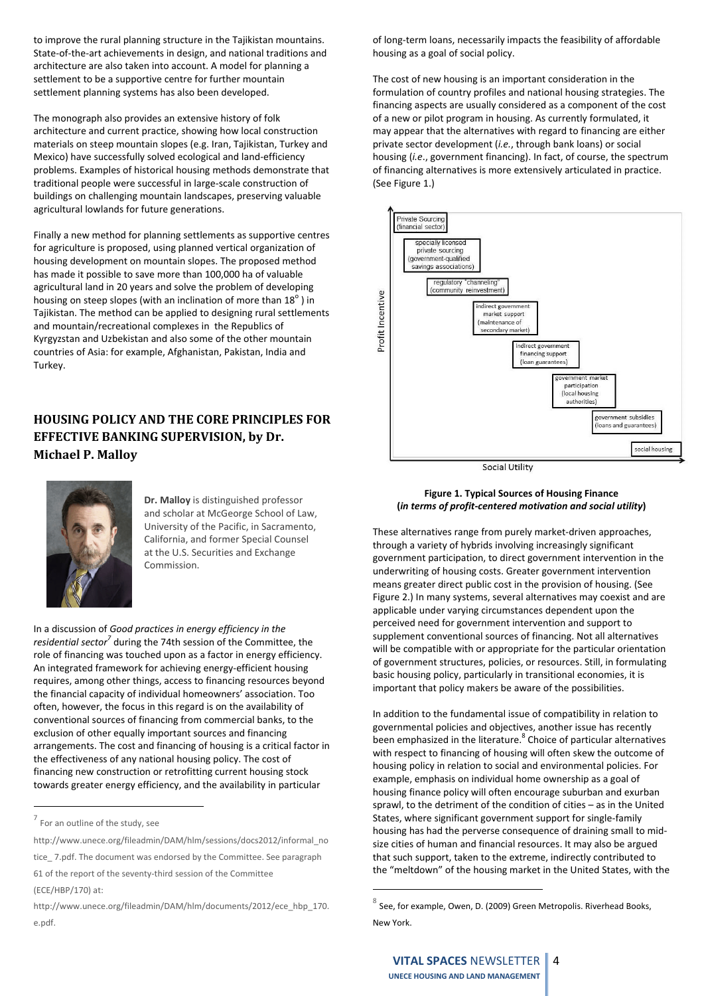to improve the rural planning structure in the Tajikistan mountains. State‐of‐the‐art achievements in design, and national traditions and architecture are also taken into account. A model for planning a settlement to be a supportive centre for further mountain settlement planning systems has also been developed.

The monograph also provides an extensive history of folk architecture and current practice, showing how local construction materials on steep mountain slopes (e.g. Iran, Tajikistan, Turkey and Mexico) have successfully solved ecological and land‐efficiency problems. Examples of historical housing methods demonstrate that traditional people were successful in large‐scale construction of buildings on challenging mountain landscapes, preserving valuable agricultural lowlands for future generations.

Finally a new method for planning settlements as supportive centres for agriculture is proposed, using planned vertical organization of housing development on mountain slopes. The proposed method has made it possible to save more than 100,000 ha of valuable agricultural land in 20 years and solve the problem of developing housing on steep slopes (with an inclination of more than  $18^{\circ}$  ) in Tajikistan. The method can be applied to designing rural settlements and mountain/recreational complexes in the Republics of Kyrgyzstan and Uzbekistan and also some of the other mountain countries of Asia: for example, Afghanistan, Pakistan, India and Turkey.

# **HOUSING POLICY AND THE CORE PRINCIPLES FOR EFFECTIVE BANKING SUPERVISION, by Dr. Michael P. Malloy**



**Dr. Malloy** is distinguished professor and scholar at McGeorge School of Law, University of the Pacific, in Sacramento, California, and former Special Counsel at the U.S. Securities and Exchange Commission.

In a discussion of *Good practices in energy efficiency in the residential sector7* during the 74th session of the Committee, the role of financing was touched upon as a factor in energy efficiency. An integrated framework for achieving energy‐efficient housing requires, among other things, access to financing resources beyond the financial capacity of individual homeowners' association. Too often, however, the focus in this regard is on the availability of conventional sources of financing from commercial banks, to the exclusion of other equally important sources and financing arrangements. The cost and financing of housing is a critical factor in the effectiveness of any national housing policy. The cost of financing new construction or retrofitting current housing stock towards greater energy efficiency, and the availability in particular

of long‐term loans, necessarily impacts the feasibility of affordable housing as a goal of social policy.

The cost of new housing is an important consideration in the formulation of country profiles and national housing strategies. The financing aspects are usually considered as a component of the cost of a new or pilot program in housing. As currently formulated, it may appear that the alternatives with regard to financing are either private sector development (*i.e.*, through bank loans) or social housing (*i.e*., government financing). In fact, of course, the spectrum of financing alternatives is more extensively articulated in practice. (See Figure 1.)



**Social Utility** 

#### **Figure 1. Typical Sources of Housing Finance (***in terms of profit‐centered motivation and social utility***)**

These alternatives range from purely market‐driven approaches, through a variety of hybrids involving increasingly significant government participation, to direct government intervention in the underwriting of housing costs. Greater government intervention means greater direct public cost in the provision of housing. (See Figure 2.) In many systems, several alternatives may coexist and are applicable under varying circumstances dependent upon the perceived need for government intervention and support to supplement conventional sources of financing. Not all alternatives will be compatible with or appropriate for the particular orientation of government structures, policies, or resources. Still, in formulating basic housing policy, particularly in transitional economies, it is important that policy makers be aware of the possibilities.

In addition to the fundamental issue of compatibility in relation to governmental policies and objectives, another issue has recently been emphasized in the literature.<sup>8</sup> Choice of particular alternatives with respect to financing of housing will often skew the outcome of housing policy in relation to social and environmental policies. For example, emphasis on individual home ownership as a goal of housing finance policy will often encourage suburban and exurban sprawl, to the detriment of the condition of cities – as in the United States, where significant government support for single‐family housing has had the perverse consequence of draining small to mid‐ size cities of human and financial resources. It may also be argued that such support, taken to the extreme, indirectly contributed to the "meltdown" of the housing market in the United States, with the

 $7$  For an outline of the study, see

http://www.unece.org/fileadmin/DAM/hlm/sessions/docs2012/informal\_no

tice\_ 7.pdf. The document was endorsed by the Committee. See paragraph 61 of the report of the seventy‐third session of the Committee

<sup>(</sup>ECE/HBP/170) at:

http://www.unece.org/fileadmin/DAM/hlm/documents/2012/ece\_hbp\_170. e.pdf.

See, for example, Owen, D. (2009) Green Metropolis. Riverhead Books, New York.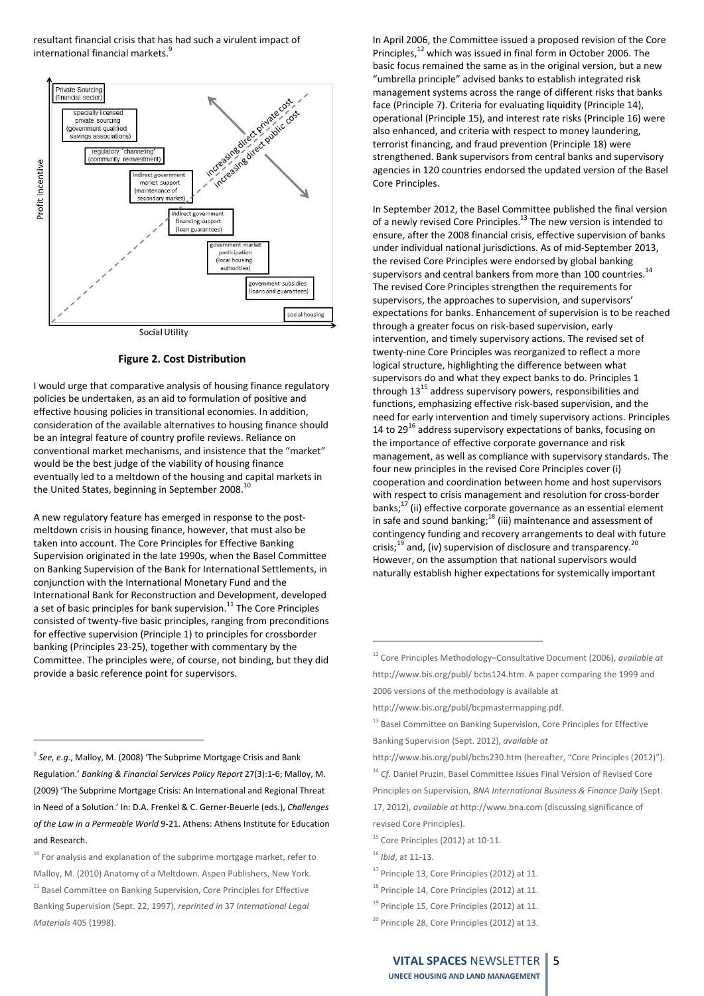resultant financial crisis that has had such a virulent impact of international financial markets.<sup>5</sup>



#### **Figure 2. Cost Distribution**

I would urge that comparative analysis of housing finance regulatory policies be undertaken, as an aid to formulation of positive and effective housing policies in transitional economies. In addition, consideration of the available alternatives to housing finance should be an integral feature of country profile reviews. Reliance on conventional market mechanisms, and insistence that the "market" would be the best judge of the viability of housing finance eventually led to a meltdown of the housing and capital markets in the United States, beginning in September 2008.<sup>10</sup>

A new regulatory feature has emerged in response to the post‐ meltdown crisis in housing finance, however, that must also be taken into account. The Core Principles for Effective Banking Supervision originated in the late 1990s, when the Basel Committee on Banking Supervision of the Bank for International Settlements, in conjunction with the International Monetary Fund and the International Bank for Reconstruction and Development, developed a set of basic principles for bank supervision. $11$  The Core Principles consisted of twenty‐five basic principles, ranging from preconditions for effective supervision (Principle 1) to principles for crossborder banking (Principles 23‐25), together with commentary by the Committee. The principles were, of course, not binding, but they did provide a basic reference point for supervisors.

<sup>9</sup> *See, e.g*., Malloy, M. (2008) 'The Subprime Mortgage Crisis and Bank Regulation.' *Banking & Financial Services Policy Report* 27(3):1‐6; Malloy, M. (2009) 'The Subprime Mortgage Crisis: An International and Regional Threat in Need of a Solution.' In: D.A. Frenkel & C. Gerner‐Beuerle (eds.), *Challenges of the Law in a Permeable World* 9‐21. Athens: Athens Institute for Education and Research.

 $10$  For analysis and explanation of the subprime mortgage market, refer to Malloy, M. (2010) Anatomy of a Meltdown. Aspen Publishers, New York. <sup>11</sup> Basel Committee on Banking Supervision, Core Principles for Effective Banking Supervision (Sept. 22, 1997), *reprinted in* 37 *International Legal Materials* 405 (1998).

In April 2006, the Committee issued a proposed revision of the Core Principles,<sup>12</sup> which was issued in final form in October 2006. The basic focus remained the same as in the original version, but a new "umbrella principle" advised banks to establish integrated risk management systems across the range of different risks that banks face (Principle 7). Criteria for evaluating liquidity (Principle 14), operational (Principle 15), and interest rate risks (Principle 16) were also enhanced, and criteria with respect to money laundering, terrorist financing, and fraud prevention (Principle 18) were strengthened. Bank supervisors from central banks and supervisory agencies in 120 countries endorsed the updated version of the Basel Core Principles.

In September 2012, the Basel Committee published the final version of a newly revised Core Principles.13 The new version is intended to ensure, after the 2008 financial crisis, effective supervision of banks under individual national jurisdictions. As of mid‐September 2013, the revised Core Principles were endorsed by global banking supervisors and central bankers from more than 100 countries. $^{14}$ The revised Core Principles strengthen the requirements for supervisors, the approaches to supervision, and supervisors' expectations for banks. Enhancement of supervision is to be reached through a greater focus on risk‐based supervision, early intervention, and timely supervisory actions. The revised set of twenty‐nine Core Principles was reorganized to reflect a more logical structure, highlighting the difference between what supervisors do and what they expect banks to do. Principles 1 through  $13^{15}$  address supervisory powers, responsibilities and functions, emphasizing effective risk‐based supervision, and the need for early intervention and timely supervisory actions. Principles 14 to  $29^{16}$  address supervisory expectations of banks, focusing on the importance of effective corporate governance and risk management, as well as compliance with supervisory standards. The four new principles in the revised Core Principles cover (i) cooperation and coordination between home and host supervisors with respect to crisis management and resolution for cross‐border banks;<sup>17</sup> (ii) effective corporate governance as an essential element in safe and sound banking; $18$  (iii) maintenance and assessment of contingency funding and recovery arrangements to deal with future crisis; $^{19}$  and, (iv) supervision of disclosure and transparency.<sup>20</sup> However, on the assumption that national supervisors would naturally establish higher expectations for systemically important

- <sup>17</sup> Principle 13, Core Principles (2012) at 11.
- <sup>18</sup> Principle 14, Core Principles (2012) at 11.

<sup>12</sup> Core Principles Methodology–Consultative Document (2006), *available at* http://www.bis.org/publ/ bcbs124.htm. A paper comparing the 1999 and 2006 versions of the methodology is available at

http://www.bis.org/publ/bcpmastermapping.pdf.

<sup>&</sup>lt;sup>13</sup> Basel Committee on Banking Supervision, Core Principles for Effective Banking Supervision (Sept. 2012), *available at*

http://www.bis.org/publ/bcbs230.htm (hereafter, "Core Principles (2012)"). <sup>14</sup> *Cf*. Daniel Pruzin, Basel Committee Issues Final Version of Revised Core Principles on Supervision, *BNA International Business & Finance Daily* (Sept. 17, 2012), *available at* http://www.bna.com (discussing significance of revised Core Principles).

 $15$  Core Principles (2012) at 10-11.

<sup>16</sup> *Ibid*, at 11‐13.

<sup>&</sup>lt;sup>19</sup> Principle 15, Core Principles (2012) at 11.

<sup>&</sup>lt;sup>20</sup> Principle 28, Core Principles (2012) at 13.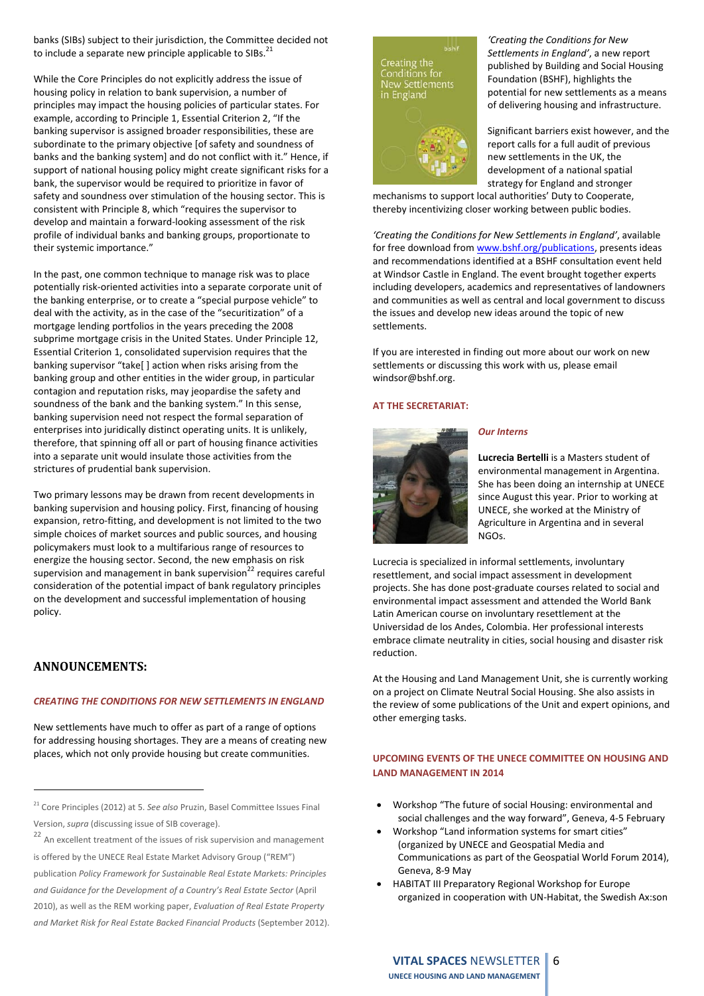banks (SIBs) subject to their jurisdiction, the Committee decided not to include a separate new principle applicable to SIBs.<sup>21</sup>

While the Core Principles do not explicitly address the issue of housing policy in relation to bank supervision, a number of principles may impact the housing policies of particular states. For example, according to Principle 1, Essential Criterion 2, "If the banking supervisor is assigned broader responsibilities, these are subordinate to the primary objective [of safety and soundness of banks and the banking system] and do not conflict with it." Hence, if support of national housing policy might create significant risks for a bank, the supervisor would be required to prioritize in favor of safety and soundness over stimulation of the housing sector. This is consistent with Principle 8, which "requires the supervisor to develop and maintain a forward‐looking assessment of the risk profile of individual banks and banking groups, proportionate to their systemic importance."

In the past, one common technique to manage risk was to place potentially risk‐oriented activities into a separate corporate unit of the banking enterprise, or to create a "special purpose vehicle" to deal with the activity, as in the case of the "securitization" of a mortgage lending portfolios in the years preceding the 2008 subprime mortgage crisis in the United States. Under Principle 12, Essential Criterion 1, consolidated supervision requires that the banking supervisor "take[ ] action when risks arising from the banking group and other entities in the wider group, in particular contagion and reputation risks, may jeopardise the safety and soundness of the bank and the banking system." In this sense, banking supervision need not respect the formal separation of enterprises into juridically distinct operating units. It is unlikely, therefore, that spinning off all or part of housing finance activities into a separate unit would insulate those activities from the strictures of prudential bank supervision.

Two primary lessons may be drawn from recent developments in banking supervision and housing policy. First, financing of housing expansion, retro‐fitting, and development is not limited to the two simple choices of market sources and public sources, and housing policymakers must look to a multifarious range of resources to energize the housing sector. Second, the new emphasis on risk supervision and management in bank supervision $^{22}$  requires careful consideration of the potential impact of bank regulatory principles on the development and successful implementation of housing policy.

# **ANNOUNCEMENTS:**

#### *CREATING THE CONDITIONS FOR NEW SETTLEMENTS IN ENGLAND*

New settlements have much to offer as part of a range of options for addressing housing shortages. They are a means of creating new places, which not only provide housing but create communities.

Creating the<br>Conditions for<br>New Settlements in England

*'Creating the Conditions for New Settlements in England'*, a new report published by Building and Social Housing Foundation (BSHF), highlights the potential for new settlements as a means of delivering housing and infrastructure.



Significant barriers exist however, and the report calls for a full audit of previous new settlements in the UK, the development of a national spatial strategy for England and stronger

mechanisms to support local authorities' Duty to Cooperate, thereby incentivizing closer working between public bodies.

*'Creating the Conditions for New Settlements in England'*, available for free download from www.bshf.org/publications, presents ideas and recommendations identified at a BSHF consultation event held at Windsor Castle in England. The event brought together experts including developers, academics and representatives of landowners and communities as well as central and local government to discuss the issues and develop new ideas around the topic of new settlements.

If you are interested in finding out more about our work on new settlements or discussing this work with us, please email windsor@bshf.org.

#### **AT THE SECRETARIAT:**



#### *Our Interns*

**Lucrecia Bertelli** is a Masters student of environmental management in Argentina. She has been doing an internship at UNECE since August this year. Prior to working at UNECE, she worked at the Ministry of Agriculture in Argentina and in several NGOs.

Lucrecia is specialized in informal settlements, involuntary resettlement, and social impact assessment in development projects. She has done post‐graduate courses related to social and environmental impact assessment and attended the World Bank Latin American course on involuntary resettlement at the Universidad de los Andes, Colombia. Her professional interests embrace climate neutrality in cities, social housing and disaster risk reduction.

At the Housing and Land Management Unit, she is currently working on a project on Climate Neutral Social Housing. She also assists in the review of some publications of the Unit and expert opinions, and other emerging tasks.

# **UPCOMING EVENTS OF THE UNECE COMMITTEE ON HOUSING AND LAND MANAGEMENT IN 2014**

- Workshop "The future of social Housing: environmental and social challenges and the way forward", Geneva, 4‐5 February
- Workshop "Land information systems for smart cities" (organized by UNECE and Geospatial Media and Communications as part of the Geospatial World Forum 2014), Geneva, 8‐9 May
- HABITAT III Preparatory Regional Workshop for Europe organized in cooperation with UN‐Habitat, the Swedish Ax:son

<sup>21</sup> Core Principles (2012) at 5. *See also* Pruzin, Basel Committee Issues Final Version, *supra* (discussing issue of SIB coverage).

<sup>&</sup>lt;sup>22</sup> An excellent treatment of the issues of risk supervision and management is offered by the UNECE Real Estate Market Advisory Group ("REM") publication *Policy Framework for Sustainable Real Estate Markets: Principles and Guidance for the Development of a Country's Real Estate Sector* (April 2010), as well as the REM working paper, *Evaluation of Real Estate Property and Market Risk for Real Estate Backed Financial Products* (September 2012).